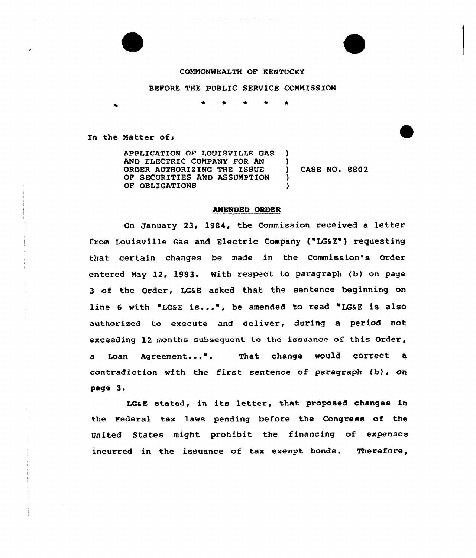## CONMONWEALTH OF KENTUCRY

## BEFORE THE PUBLIC SERVICE COMMISSION

In the Natter of:

E

APPLICATION OF LOUISVILLE GAS ) AND ELECTRIC COMPANY FOR AN (1)<br>ORDER AUTHORIZING THE ISSUE ORDER AUTHORIZING THE ISSUE (and CASE NO. 8802) OF SECURITIES AND ASSUMPTION OF OBLIGATIONS

## AMENDED ORDER

On January 23, 1984, the Commission received a 1etter from Louisville Gas and Electric Company ("LG&E") requesting that. certain changes be made in the Commission's Order entered Nay 12, 1983. With respect to paragraph (b) on page 3 of the Order, LQaE asked that the sentence beginning on line 6 with "LG&E is...", be amended to read "LG&E is also authorized to execute and deliver, during a period not exceeding 12 months subsequent to the issuance of this Order, a Loan Agreement...". That change would correct a contradiction with the first sentence of paragraph  $(b)$ , on page 3.

LGaE stated, in its letter, that proposed changes in, the Federal tax laws pending before the Congress of the United States might prohibit the financing of expenses incurred in the issuance of tax exempt bonds. Therefore,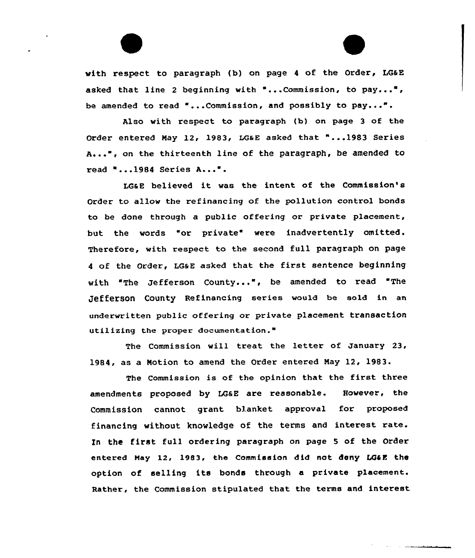with respect to paragraph (b) on page 4 of the Order, LG&E asked that line 2 beginning with "...Commission, to pay...", be amended to read "...Commission, and possibly to pay...".

Also with respect to paragraph {b) on page 3 of the Order entered May 12, 1983, LG&E asked that "... 1983 Series A...", on the thirteenth line of the paragraph, be amended to read "...1984 Series A...".

LG&E believed it was the intent of the Commission's Order to allov the refinancing of the pollution control bonds to be done through a public offering or private placement, but the words "or private" were inadvertently omitted. Therefore, with respect to the second full paragraph on page 4 of the Order, LG&E asked that the first sentence beginning vith "The Jefferson County...", be amended to read 'The Jefferson County Refinancing series would be sold in an underwritten public offering or private placement transaction util izing the proper documentation."

The Commission vill treat the letter of January 23, 1984, as a Notion to amend the Order entered Nay 12, 1983.

The Commission is of the opinion that the first three amendments proposed by LGaE are reasonable. However, the Commission cannot grant blanket approval for proposed financing without knowledge of the terms and interest rate. In the first full ordering paragraph on page <sup>5</sup> of the Order entered May 12, 1983, the Commission did not deny LG&E the option of selling its bonds through a private placement. Rather, the Commission stipulated that the terms and interest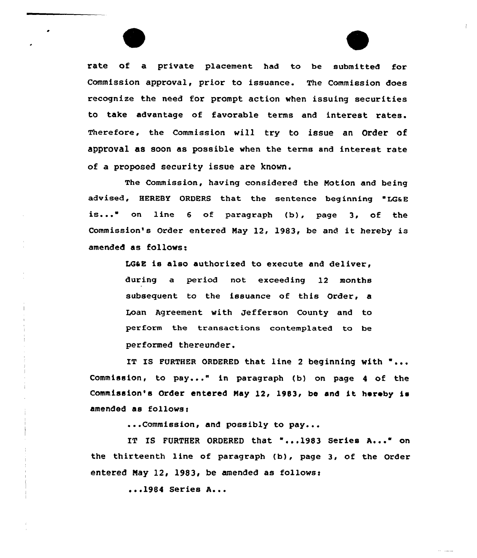rate of a private placement had to be submitted for Commission approval, prior to issuance. The Commission does recognize the need for prompt action when issuing securities to take advantage of favorable terms and interest rates. Therefore, the Commission vill try to issue an Order of approval as soon as possible when the terms and interest rate of a proposed security issue are known.

The Commissicn, having considered the Notion and being advised, HEREBY ORDERS that the sentence beginning "LG&E is..." on line 6 of paragraph (b), page 3, of the Commission's Order entered Nay 12, 1983, be and it hereby is amended as follows:

> LG&E is also authorized to execute and deliver, during a period not exceeding 12 months subsequent to the issuance of this Order, a Loan Agreement with Jefferson County and to perform the transactions contemplated to be performed thereunder.

IT IS FURTHER ORDERED that line 2 beginning with "... Commission, to pay..." in paragraph (b) on page <sup>4</sup> of the Commission's Order entered May 12, 1983, be and it hereby is amended as follows:

...Commission, and possibly to pay...

IT IS FURTHER ORDERED that "...1983 Series A..." on the thirteenth line of paragraph (b), page 3, of the Order entered May 12, 1983, be amended as follows:

<sup>~</sup> .<sup>~</sup> <sup>1984</sup> Series A...